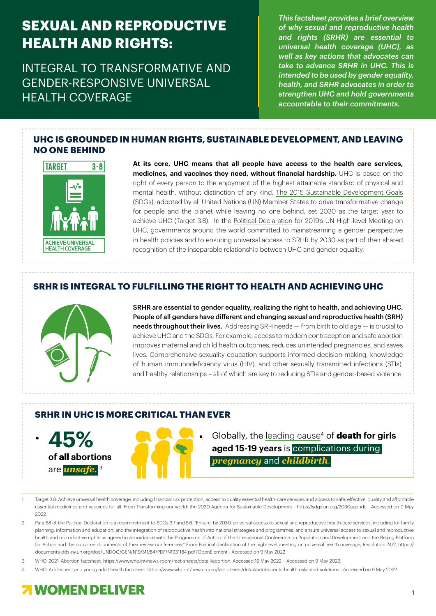## **SEXUAL AND REPRODUCTIVE HEALTH AND RIGHTS:**

INTEGRAL TO TRANSFORMATIVE AND GENDER-RESPONSIVE UNIVERSAL HEALTH COVERAGE

*This factsheet provides a brief overview of why sexual and reproductive health and rights (SRHR) are essential to universal health coverage (UHC), as well as key actions that advocates can take to advance SRHR in UHC. This is intended to be used by gender equality, health, and SRHR advocates in order to strengthen UHC and hold governments accountable to their commitments.*

#### **UHC IS GROUNDED IN HUMAN RIGHTS, SUSTAINABLE DEVELOPMENT, AND LEAVING NO ONE BEHIND**



**At its core, UHC means that all people have access to the health care services, medicines, and vaccines they need, without financial hardship.** UHC is based on the right of every person to the enjoyment of the highest attainable standard of physical and mental health, without distinction of any kind. The 2015 [Sustainable Development Goals](https://sdgs.un.org/2030agenda) [\(SDGs\),](https://sdgs.un.org/2030agenda) adopted by all United Nations (UN) Member States to drive transformative change for people and the planet while leaving no one behind, set 2030 as the target year to achieve UHC (Target 3.8). In the [Political Declaration](https://www.un.org/pga/73/wp-content/uploads/sites/53/2019/07/FINAL-draft-UHC-Political-Declaration.pdf) for 2019's UN High-level Meeting on UHC, governments around the world committed to mainstreaming a gender perspective in health policies and to ensuring universal access to SRHR by 2030 as part of their shared recognition of the inseparable relationship between UHC and gender equality.

#### **SRHR IS INTEGRAL TO FULFILLING THE RIGHT TO HEALTH AND ACHIEVING UHC**



SRHR are essential to gender equality, realizing the right to health, and achieving UHC. People of all genders have different and changing sexual and reproductive health (SRH) needs throughout their lives. Addressing SRH needs  $-$  from birth to old age  $-$  is crucial to achieve UHC and the SDGs. For example, access to modern contraception and safe abortion improves maternal and child health outcomes, reduces unintended pregnancies, and saves lives. Comprehensive sexuality education supports informed decision-making, knowledge of human immunodeficiency virus (HIV), and other sexually transmitted infections (STIs), and healthy relationships – all of which are key to reducing STIs and gender-based violence.

#### **SRHR IN UHC IS MORE CRITICAL THAN EVER**



Globally, the [leading cause](https://www.who.int/news-room/fact-sheets/detail/adolescents-health-risks-and-solutions)4 of death **for girls aged 15-19 years** is complications during *pregnancy* and *childbirth*.

- Target 3.8: Achieve universal health coverage, including financial risk protection, access to quality essential health-care services and access to safe, effective, quality and affordable essential medicines and vaccines for all. From Transforming our world: the 2030 Agenda for Sustainable Development - [https://sdgs.un.org/2030agenda - Accessed on 9 May](https://sdgs.un.org/2030agenda )  $2022$
- 2 Para 68 of the Political Declaration is a recommitment to SDGs 3.7 and 5.6. "Ensure, by 2030, universal access to sexual and reproductive health-care services, including for family planning, information and education, and the integration of reproductive health into national strategies and programmes, and ensure universal access to sexual and reproductive health and reproductive rights as agreed in accordance with the Programme of Action of the International Conference on Population and Development and the Beijing Platform for Action and the outcome documents of their review conferences;" From Political declaration of the high-level meeting on universal health coverage, Resolution 74/2, [https://](https://documents-dds-ny.un.org/doc/UNDOC/GEN/N19/311/84/PDF/N1931184.pdf?OpenElement) [documents-dds-ny.un.org/doc/UNDOC/GEN/N19/311/84/PDF/N1931184.pdf?OpenElement](https://documents-dds-ny.un.org/doc/UNDOC/GEN/N19/311/84/PDF/N1931184.pdf?OpenElement) - Accessed on 9 May 2022.
- 3 WHO. 2021. Abortion factsheet. https://www.who.int/news-room/fact-sheets/detail/abortion. Accessed 16 May 2022. Accessed on 9 May 2022.
- 4 WHO. Adolescent and young adult health factsheet.<https://www.who.int/news-room/fact-sheets/detail/adolescents-health-risks-and-solutions> Accessed on 9 May 2022.

### **7 WOMEN DELIVER**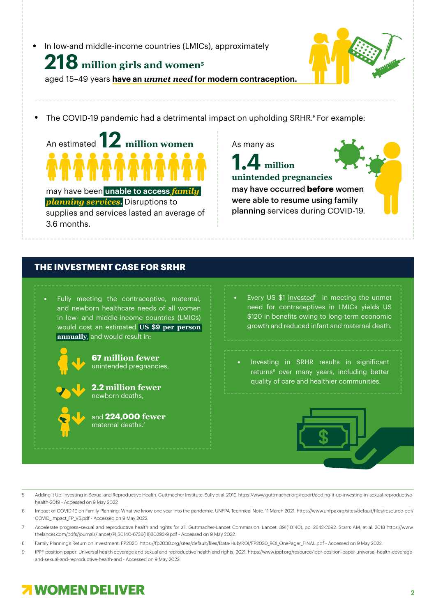In low-and middle-income countries (LMICs), approximately

# **[218](https://www.guttmacher.org/sites/default/files/report_pdf/adding-it-up-investing-in-sexual-reproductive-health-2019.pdf) [million girls and women](https://www.guttmacher.org/sites/default/files/report_pdf/adding-it-up-investing-in-sexual-reproductive-health-2019.pdf)5**

aged 15–49 years **have an** *unmet need* **for modern contraception.**

The COVID-19 pandemic had a detrimental impact on upholding SRHR.<sup>6</sup> For example:

**[12](https://www.unfpa.org/sites/default/files/resource-pdf/COVID_Impact_FP_V5.pdf)** An estimated **[million women](https://www.unfpa.org/sites/default/files/resource-pdf/COVID_Impact_FP_V5.pdf) ^^^^^^^^^^^^** may have been **unable to access** *family planning services***.** Disruptions to supplies and services lasted an average of 3.6 months.

As many as

**unintended pregnancies**  may have occurred **before** women were able to resume using family planning services during COVID-19. **[1.4](https://www.unfpa.org/sites/default/files/resource-pdf/COVID_Impact_FP_V5.pdf) [million](https://www.unfpa.org/sites/default/files/resource-pdf/COVID_Impact_FP_V5.pdf)**

### **THE INVESTMENT CASE FOR SRHR**

Fully meeting the contraceptive, maternal, and newborn healthcare needs of all women in low- and middle-income countries (LMICs) would cost an estimated **US \$9 [per person](https://www.thelancet.com/pdfs/journals/lancet/PIIS0140-6736(18)30293-9.pdf) [annually](https://www.thelancet.com/pdfs/journals/lancet/PIIS0140-6736(18)30293-9.pdf)**, and would result in:



**67 [million fewer](https://www.guttmacher.org/guttmacher-lancet-commission/accelerate-progress-executive-summary)** unintended pregnancies,

**2.2 million fewer**  newborn deaths,

and **224,000 fewer**  maternal deaths.<sup>7</sup>

Every US  $$1$  [invested](https://fp2030.org/sites/default/files/Data-Hub/ROI/FP2020_ROI_OnePager_FINAL.pdf) $8$  in meeting the unmet need for contraceptives in LMICs yields US \$120 in benefits owing to long-term economic growth and reduced infant and maternal death.

• Investing in SRHR results in significant returns<sup>8</sup> over many years, including better quality of care and healthier communities.



- 5 Adding It Up: Investing in Sexual and Reproductive Health. Guttmacher Institute. Sully et al. 2019. [https://www.guttmacher.org/report/adding-it-up-investing-in-sexual-reproductive](https://www.guttmacher.org/report/adding-it-up-investing-in-sexual-reproductive-health-2019)[health-2019](https://www.guttmacher.org/report/adding-it-up-investing-in-sexual-reproductive-health-2019) - Accessed on 9 May 2022.
- 6 Impact of COVID-19 on Family Planning: What we know one year into the pandemic. UNFPA Technical Note. 11 March 2021. [https://www.unfpa.org/sites/default/files/resource-pdf/](https://www.unfpa.org/sites/default/files/resource-pdf/COVID_Impact_FP_V5.pdf ) [COVID\\_Impact\\_FP\\_V5.pdf - Accessed on 9 May 2022.](https://www.unfpa.org/sites/default/files/resource-pdf/COVID_Impact_FP_V5.pdf )
- 7 Accelerate progress–sexual and reproductive health and rights for all. Guttmacher-Lancet Commission. Lancet. 391(10140), pp. 2642-2692. Starrs AM, et al. 2018 [https://www.](https://www.thelancet.com/pdfs/journals/lancet/PIIS0140-6736(18)30293-9.pdf) [thelancet.com/pdfs/journals/lancet/PIIS0140-6736\(18\)30293-9.pdf](https://www.thelancet.com/pdfs/journals/lancet/PIIS0140-6736(18)30293-9.pdf) - Accessed on 9 May 2022.
- 8 Family Planning's Return on Investment. FP2020. [https://fp2030.org/sites/default/files/Data-Hub/ROI/FP2020\\_ROI\\_OnePager\\_FINAL.pdf](https://fp2030.org/sites/default/files/Data-Hub/ROI/FP2020_ROI_OnePager_FINAL.pdf)  Accessed on 9 May 2022.
- 9 IPPF position paper: Universal health coverage and sexual and reproductive health and rights, 2021. [https://www.ippf.org/resource/ippf-position-paper-universal-health-coverage](https://www.ippf.org/resource/ippf-position-paper-universal-health-coverage-and-sexual-and-reproductive-health-and  )[and-sexual-and-reproductive-health-and - Accessed on 9 May 2022.](https://www.ippf.org/resource/ippf-position-paper-universal-health-coverage-and-sexual-and-reproductive-health-and  )

## **7 WOMEN DELIVER**